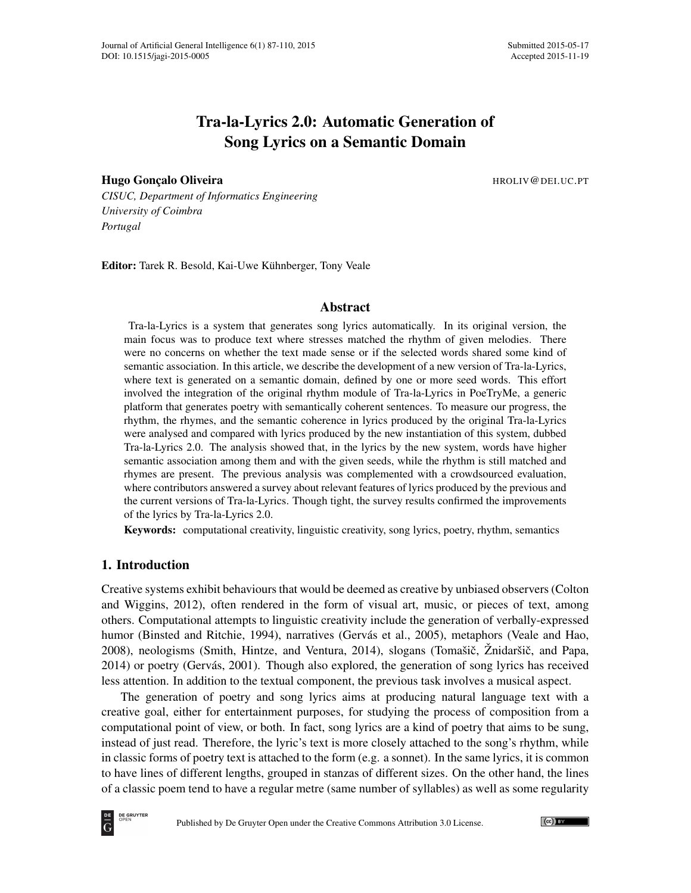# Tra-la-Lyrics 2.0: Automatic Generation of Song Lyrics on a Semantic Domain

## Hugo Gonçalo Oliveira **Haussen And Alexander And Alexander And Alexander And Alexander And Alexander And Alexander And Alexander And Alexander And Alexander And Alexander And Alexander And Alexander And Alexander And Alexa**

*CISUC, Department of Informatics Engineering University of Coimbra Portugal*

Editor: Tarek R. Besold, Kai-Uwe Kühnberger, Tony Veale

### Abstract

Tra-la-Lyrics is a system that generates song lyrics automatically. In its original version, the main focus was to produce text where stresses matched the rhythm of given melodies. There were no concerns on whether the text made sense or if the selected words shared some kind of semantic association. In this article, we describe the development of a new version of Tra-la-Lyrics, where text is generated on a semantic domain, defined by one or more seed words. This effort involved the integration of the original rhythm module of Tra-la-Lyrics in PoeTryMe, a generic platform that generates poetry with semantically coherent sentences. To measure our progress, the rhythm, the rhymes, and the semantic coherence in lyrics produced by the original Tra-la-Lyrics were analysed and compared with lyrics produced by the new instantiation of this system, dubbed Tra-la-Lyrics 2.0. The analysis showed that, in the lyrics by the new system, words have higher semantic association among them and with the given seeds, while the rhythm is still matched and rhymes are present. The previous analysis was complemented with a crowdsourced evaluation, where contributors answered a survey about relevant features of lyrics produced by the previous and the current versions of Tra-la-Lyrics. Though tight, the survey results confirmed the improvements of the lyrics by Tra-la-Lyrics 2.0.

Keywords: computational creativity, linguistic creativity, song lyrics, poetry, rhythm, semantics

# 1. Introduction

Creative systems exhibit behaviours that would be deemed as creative by unbiased observers (Colton and Wiggins, 2012), often rendered in the form of visual art, music, or pieces of text, among others. Computational attempts to linguistic creativity include the generation of verbally-expressed humor (Binsted and Ritchie, 1994), narratives (Gervás et al., 2005), metaphors (Veale and Hao, 2008), neologisms (Smith, Hintze, and Ventura, 2014), slogans (Tomašič, Žnidaršič, and Papa, 2014) or poetry (Gervás, 2001). Though also explored, the generation of song lyrics has received less attention. In addition to the textual component, the previous task involves a musical aspect.

The generation of poetry and song lyrics aims at producing natural language text with a creative goal, either for entertainment purposes, for studying the process of composition from a computational point of view, or both. In fact, song lyrics are a kind of poetry that aims to be sung, instead of just read. Therefore, the lyric's text is more closely attached to the song's rhythm, while in classic forms of poetry text is attached to the form (e.g. a sonnet). In the same lyrics, it is common to have lines of different lengths, grouped in stanzas of different sizes. On the other hand, the lines of a classic poem tend to have a regular metre (same number of syllables) as well as some regularity

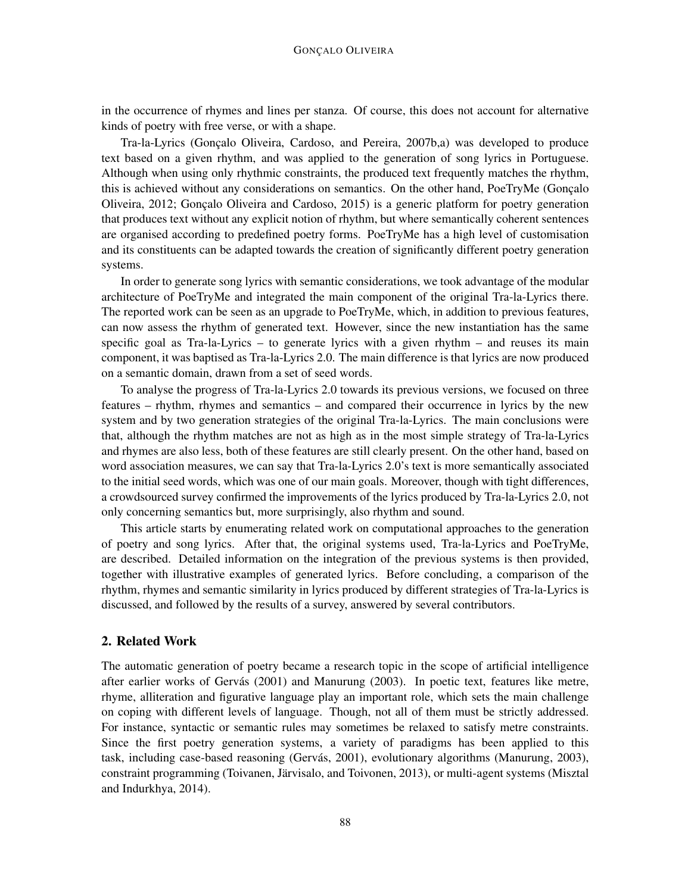in the occurrence of rhymes and lines per stanza. Of course, this does not account for alternative kinds of poetry with free verse, or with a shape.

Tra-la-Lyrics (Gonçalo Oliveira, Cardoso, and Pereira, 2007b,a) was developed to produce text based on a given rhythm, and was applied to the generation of song lyrics in Portuguese. Although when using only rhythmic constraints, the produced text frequently matches the rhythm, this is achieved without any considerations on semantics. On the other hand, PoeTryMe (Gonçalo Oliveira, 2012; Gonçalo Oliveira and Cardoso, 2015) is a generic platform for poetry generation that produces text without any explicit notion of rhythm, but where semantically coherent sentences are organised according to predefined poetry forms. PoeTryMe has a high level of customisation and its constituents can be adapted towards the creation of significantly different poetry generation systems.

In order to generate song lyrics with semantic considerations, we took advantage of the modular architecture of PoeTryMe and integrated the main component of the original Tra-la-Lyrics there. The reported work can be seen as an upgrade to PoeTryMe, which, in addition to previous features, can now assess the rhythm of generated text. However, since the new instantiation has the same specific goal as Tra-la-Lyrics – to generate lyrics with a given rhythm – and reuses its main component, it was baptised as Tra-la-Lyrics 2.0. The main difference is that lyrics are now produced on a semantic domain, drawn from a set of seed words.

To analyse the progress of Tra-la-Lyrics 2.0 towards its previous versions, we focused on three features – rhythm, rhymes and semantics – and compared their occurrence in lyrics by the new system and by two generation strategies of the original Tra-la-Lyrics. The main conclusions were that, although the rhythm matches are not as high as in the most simple strategy of Tra-la-Lyrics and rhymes are also less, both of these features are still clearly present. On the other hand, based on word association measures, we can say that Tra-la-Lyrics 2.0's text is more semantically associated to the initial seed words, which was one of our main goals. Moreover, though with tight differences, a crowdsourced survey confirmed the improvements of the lyrics produced by Tra-la-Lyrics 2.0, not only concerning semantics but, more surprisingly, also rhythm and sound.

This article starts by enumerating related work on computational approaches to the generation of poetry and song lyrics. After that, the original systems used, Tra-la-Lyrics and PoeTryMe, are described. Detailed information on the integration of the previous systems is then provided, together with illustrative examples of generated lyrics. Before concluding, a comparison of the rhythm, rhymes and semantic similarity in lyrics produced by different strategies of Tra-la-Lyrics is discussed, and followed by the results of a survey, answered by several contributors.

## 2. Related Work

The automatic generation of poetry became a research topic in the scope of artificial intelligence after earlier works of Gervás (2001) and Manurung (2003). In poetic text, features like metre, rhyme, alliteration and figurative language play an important role, which sets the main challenge on coping with different levels of language. Though, not all of them must be strictly addressed. For instance, syntactic or semantic rules may sometimes be relaxed to satisfy metre constraints. Since the first poetry generation systems, a variety of paradigms has been applied to this task, including case-based reasoning (Gervás, 2001), evolutionary algorithms (Manurung, 2003), constraint programming (Toivanen, Jarvisalo, and Toivonen, 2013), or multi-agent systems (Misztal ¨ and Indurkhya, 2014).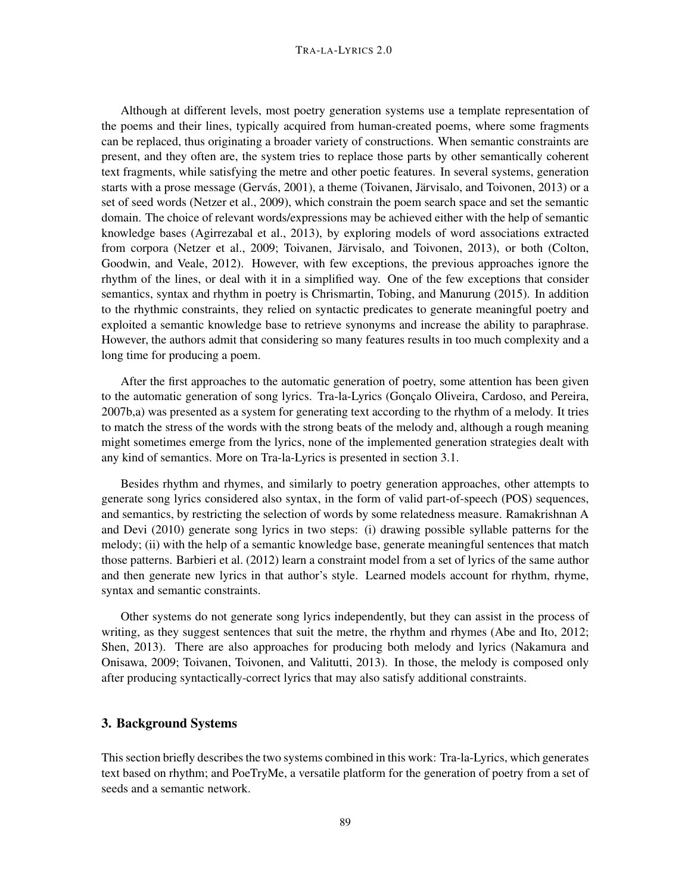#### TRA-LA-LYRICS 2.0

Although at different levels, most poetry generation systems use a template representation of the poems and their lines, typically acquired from human-created poems, where some fragments can be replaced, thus originating a broader variety of constructions. When semantic constraints are present, and they often are, the system tries to replace those parts by other semantically coherent text fragments, while satisfying the metre and other poetic features. In several systems, generation starts with a prose message (Gervás, 2001), a theme (Toivanen, Järvisalo, and Toivonen, 2013) or a set of seed words (Netzer et al., 2009), which constrain the poem search space and set the semantic domain. The choice of relevant words/expressions may be achieved either with the help of semantic knowledge bases (Agirrezabal et al., 2013), by exploring models of word associations extracted from corpora (Netzer et al., 2009; Toivanen, Järvisalo, and Toivonen, 2013), or both (Colton, Goodwin, and Veale, 2012). However, with few exceptions, the previous approaches ignore the rhythm of the lines, or deal with it in a simplified way. One of the few exceptions that consider semantics, syntax and rhythm in poetry is Chrismartin, Tobing, and Manurung (2015). In addition to the rhythmic constraints, they relied on syntactic predicates to generate meaningful poetry and exploited a semantic knowledge base to retrieve synonyms and increase the ability to paraphrase. However, the authors admit that considering so many features results in too much complexity and a long time for producing a poem.

After the first approaches to the automatic generation of poetry, some attention has been given to the automatic generation of song lyrics. Tra-la-Lyrics (Gonçalo Oliveira, Cardoso, and Pereira, 2007b,a) was presented as a system for generating text according to the rhythm of a melody. It tries to match the stress of the words with the strong beats of the melody and, although a rough meaning might sometimes emerge from the lyrics, none of the implemented generation strategies dealt with any kind of semantics. More on Tra-la-Lyrics is presented in section 3.1.

Besides rhythm and rhymes, and similarly to poetry generation approaches, other attempts to generate song lyrics considered also syntax, in the form of valid part-of-speech (POS) sequences, and semantics, by restricting the selection of words by some relatedness measure. Ramakrishnan A and Devi (2010) generate song lyrics in two steps: (i) drawing possible syllable patterns for the melody; (ii) with the help of a semantic knowledge base, generate meaningful sentences that match those patterns. Barbieri et al. (2012) learn a constraint model from a set of lyrics of the same author and then generate new lyrics in that author's style. Learned models account for rhythm, rhyme, syntax and semantic constraints.

Other systems do not generate song lyrics independently, but they can assist in the process of writing, as they suggest sentences that suit the metre, the rhythm and rhymes (Abe and Ito, 2012; Shen, 2013). There are also approaches for producing both melody and lyrics (Nakamura and Onisawa, 2009; Toivanen, Toivonen, and Valitutti, 2013). In those, the melody is composed only after producing syntactically-correct lyrics that may also satisfy additional constraints.

## 3. Background Systems

This section briefly describes the two systems combined in this work: Tra-la-Lyrics, which generates text based on rhythm; and PoeTryMe, a versatile platform for the generation of poetry from a set of seeds and a semantic network.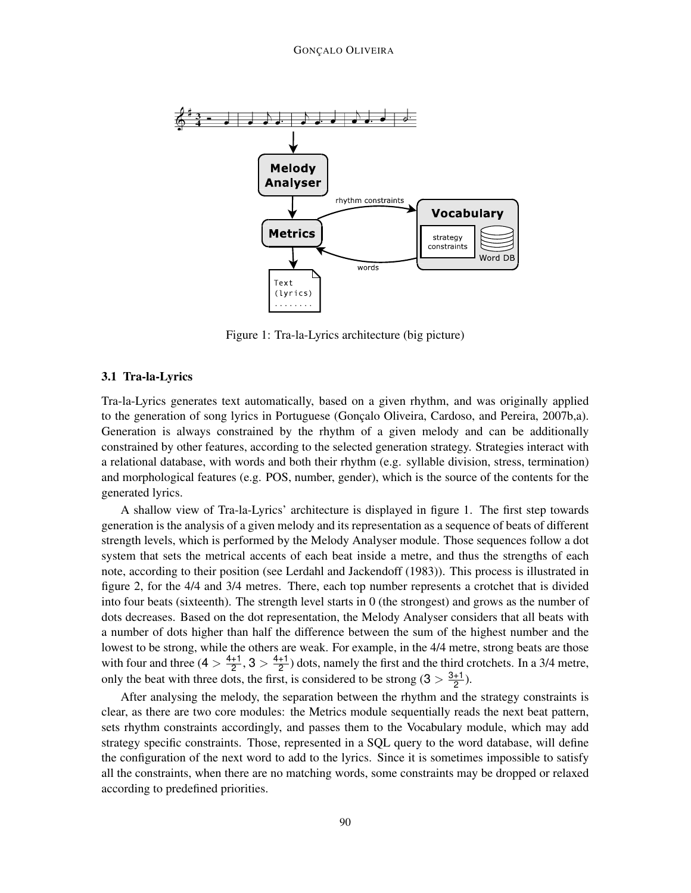

Figure 1: Tra-la-Lyrics architecture (big picture)

### 3.1 Tra-la-Lyrics

Tra-la-Lyrics generates text automatically, based on a given rhythm, and was originally applied to the generation of song lyrics in Portuguese (Goncalo Oliveira, Cardoso, and Pereira, 2007b,a). Generation is always constrained by the rhythm of a given melody and can be additionally constrained by other features, according to the selected generation strategy. Strategies interact with a relational database, with words and both their rhythm (e.g. syllable division, stress, termination) and morphological features (e.g. POS, number, gender), which is the source of the contents for the generated lyrics.

A shallow view of Tra-la-Lyrics' architecture is displayed in figure 1. The first step towards generation is the analysis of a given melody and its representation as a sequence of beats of different strength levels, which is performed by the Melody Analyser module. Those sequences follow a dot system that sets the metrical accents of each beat inside a metre, and thus the strengths of each note, according to their position (see Lerdahl and Jackendoff (1983)). This process is illustrated in figure 2, for the 4/4 and 3/4 metres. There, each top number represents a crotchet that is divided into four beats (sixteenth). The strength level starts in 0 (the strongest) and grows as the number of dots decreases. Based on the dot representation, the Melody Analyser considers that all beats with a number of dots higher than half the difference between the sum of the highest number and the lowest to be strong, while the others are weak. For example, in the 4/4 metre, strong beats are those with four and three  $(4 > \frac{4+1}{2})$  $\frac{+1}{2}$ , 3 >  $\frac{4+1}{2}$  $\frac{+1}{2}$ ) dots, namely the first and the third crotchets. In a 3/4 metre, only the beat with three dots, the first, is considered to be strong  $(3 > \frac{3+1}{2})$  $\frac{+1}{2}$ ).

After analysing the melody, the separation between the rhythm and the strategy constraints is clear, as there are two core modules: the Metrics module sequentially reads the next beat pattern, sets rhythm constraints accordingly, and passes them to the Vocabulary module, which may add strategy specific constraints. Those, represented in a SQL query to the word database, will define the configuration of the next word to add to the lyrics. Since it is sometimes impossible to satisfy all the constraints, when there are no matching words, some constraints may be dropped or relaxed according to predefined priorities.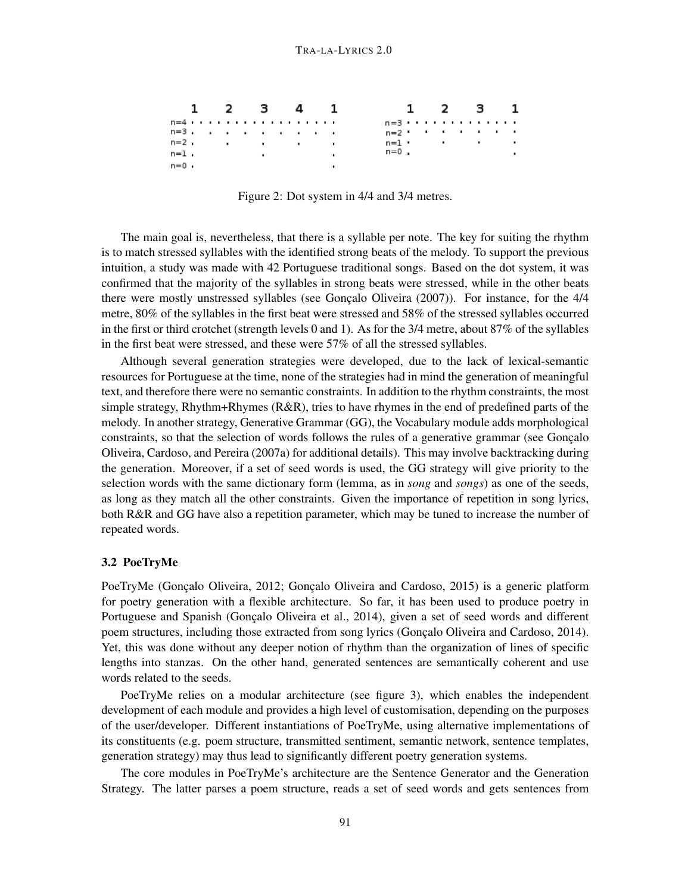|                                       | - 3                               |                                                                                 |                                               | $\mathbf{z}$ |  |
|---------------------------------------|-----------------------------------|---------------------------------------------------------------------------------|-----------------------------------------------|--------------|--|
| n=4 + + + + + + + + + + + + + + + + + |                                   |                                                                                 | n=3 + + + + + + + + + + + + +                 |              |  |
| n=3                                   |                                   |                                                                                 | $n=2$                                         |              |  |
| n=2 .                                 |                                   | the contract of the contract of the contract of the contract of the contract of | $n=1$ $\cdot$ $\cdot$ $\cdot$ $\cdot$ $\cdot$ |              |  |
| n=1 .                                 | <b>Contract Contract Contract</b> |                                                                                 | $n=0$ .                                       |              |  |
| $n=0$ .                               |                                   |                                                                                 |                                               |              |  |

Figure 2: Dot system in 4/4 and 3/4 metres.

The main goal is, nevertheless, that there is a syllable per note. The key for suiting the rhythm is to match stressed syllables with the identified strong beats of the melody. To support the previous intuition, a study was made with 42 Portuguese traditional songs. Based on the dot system, it was confirmed that the majority of the syllables in strong beats were stressed, while in the other beats there were mostly unstressed syllables (see Gonçalo Oliveira (2007)). For instance, for the 4/4 metre, 80% of the syllables in the first beat were stressed and 58% of the stressed syllables occurred in the first or third crotchet (strength levels 0 and 1). As for the 3/4 metre, about 87% of the syllables in the first beat were stressed, and these were 57% of all the stressed syllables.

Although several generation strategies were developed, due to the lack of lexical-semantic resources for Portuguese at the time, none of the strategies had in mind the generation of meaningful text, and therefore there were no semantic constraints. In addition to the rhythm constraints, the most simple strategy, Rhythm+Rhymes ( $R&R$ ), tries to have rhymes in the end of predefined parts of the melody. In another strategy, Generative Grammar (GG), the Vocabulary module adds morphological constraints, so that the selection of words follows the rules of a generative grammar (see Gonçalo Oliveira, Cardoso, and Pereira (2007a) for additional details). This may involve backtracking during the generation. Moreover, if a set of seed words is used, the GG strategy will give priority to the selection words with the same dictionary form (lemma, as in *song* and *songs*) as one of the seeds, as long as they match all the other constraints. Given the importance of repetition in song lyrics, both R&R and GG have also a repetition parameter, which may be tuned to increase the number of repeated words.

#### 3.2 PoeTryMe

PoeTryMe (Goncalo Oliveira, 2012; Goncalo Oliveira and Cardoso, 2015) is a generic platform for poetry generation with a flexible architecture. So far, it has been used to produce poetry in Portuguese and Spanish (Gonçalo Oliveira et al., 2014), given a set of seed words and different poem structures, including those extracted from song lyrics (Goncalo Oliveira and Cardoso, 2014). Yet, this was done without any deeper notion of rhythm than the organization of lines of specific lengths into stanzas. On the other hand, generated sentences are semantically coherent and use words related to the seeds.

PoeTryMe relies on a modular architecture (see figure 3), which enables the independent development of each module and provides a high level of customisation, depending on the purposes of the user/developer. Different instantiations of PoeTryMe, using alternative implementations of its constituents (e.g. poem structure, transmitted sentiment, semantic network, sentence templates, generation strategy) may thus lead to significantly different poetry generation systems.

The core modules in PoeTryMe's architecture are the Sentence Generator and the Generation Strategy. The latter parses a poem structure, reads a set of seed words and gets sentences from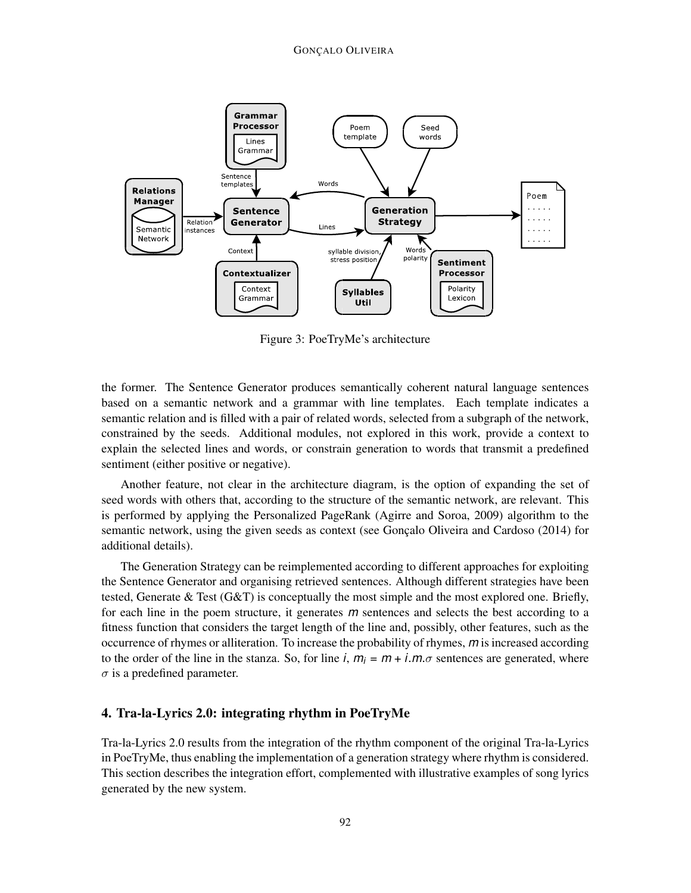

Figure 3: PoeTryMe's architecture

the former. The Sentence Generator produces semantically coherent natural language sentences based on a semantic network and a grammar with line templates. Each template indicates a semantic relation and is filled with a pair of related words, selected from a subgraph of the network, constrained by the seeds. Additional modules, not explored in this work, provide a context to explain the selected lines and words, or constrain generation to words that transmit a predefined sentiment (either positive or negative).

Another feature, not clear in the architecture diagram, is the option of expanding the set of seed words with others that, according to the structure of the semantic network, are relevant. This is performed by applying the Personalized PageRank (Agirre and Soroa, 2009) algorithm to the semantic network, using the given seeds as context (see Gonçalo Oliveira and Cardoso (2014) for additional details).

The Generation Strategy can be reimplemented according to different approaches for exploiting the Sentence Generator and organising retrieved sentences. Although different strategies have been tested, Generate  $\&$  Test (G $\&$ T) is conceptually the most simple and the most explored one. Briefly, for each line in the poem structure, it generates *m* sentences and selects the best according to a fitness function that considers the target length of the line and, possibly, other features, such as the occurrence of rhymes or alliteration. To increase the probability of rhymes, *m* is increased according to the order of the line in the stanza. So, for line *i*,  $m_i = m + i.m.\sigma$  sentences are generated, where  $\sigma$  is a predefined parameter.

## 4. Tra-la-Lyrics 2.0: integrating rhythm in PoeTryMe

Tra-la-Lyrics 2.0 results from the integration of the rhythm component of the original Tra-la-Lyrics in PoeTryMe, thus enabling the implementation of a generation strategy where rhythm is considered. This section describes the integration effort, complemented with illustrative examples of song lyrics generated by the new system.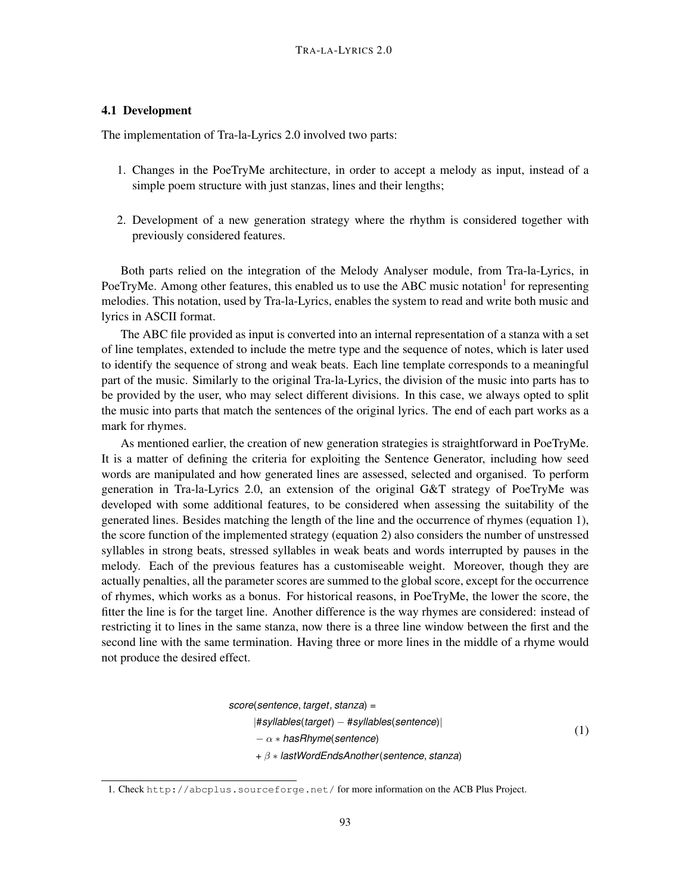#### 4.1 Development

The implementation of Tra-la-Lyrics 2.0 involved two parts:

- 1. Changes in the PoeTryMe architecture, in order to accept a melody as input, instead of a simple poem structure with just stanzas, lines and their lengths;
- 2. Development of a new generation strategy where the rhythm is considered together with previously considered features.

Both parts relied on the integration of the Melody Analyser module, from Tra-la-Lyrics, in PoeTryMe. Among other features, this enabled us to use the ABC music notation<sup>1</sup> for representing melodies. This notation, used by Tra-la-Lyrics, enables the system to read and write both music and lyrics in ASCII format.

The ABC file provided as input is converted into an internal representation of a stanza with a set of line templates, extended to include the metre type and the sequence of notes, which is later used to identify the sequence of strong and weak beats. Each line template corresponds to a meaningful part of the music. Similarly to the original Tra-la-Lyrics, the division of the music into parts has to be provided by the user, who may select different divisions. In this case, we always opted to split the music into parts that match the sentences of the original lyrics. The end of each part works as a mark for rhymes.

As mentioned earlier, the creation of new generation strategies is straightforward in PoeTryMe. It is a matter of defining the criteria for exploiting the Sentence Generator, including how seed words are manipulated and how generated lines are assessed, selected and organised. To perform generation in Tra-la-Lyrics 2.0, an extension of the original G&T strategy of PoeTryMe was developed with some additional features, to be considered when assessing the suitability of the generated lines. Besides matching the length of the line and the occurrence of rhymes (equation 1), the score function of the implemented strategy (equation 2) also considers the number of unstressed syllables in strong beats, stressed syllables in weak beats and words interrupted by pauses in the melody. Each of the previous features has a customiseable weight. Moreover, though they are actually penalties, all the parameter scores are summed to the global score, except for the occurrence of rhymes, which works as a bonus. For historical reasons, in PoeTryMe, the lower the score, the fitter the line is for the target line. Another difference is the way rhymes are considered: instead of restricting it to lines in the same stanza, now there is a three line window between the first and the second line with the same termination. Having three or more lines in the middle of a rhyme would not produce the desired effect.

*score*(*sentence*, *target*, *stanza*) =

|#*syllables*(*target*) − #*syllables*(*sentence*)|

− α ∗ *hasRhyme*(*sentence*)

+ β ∗ *lastWordEndsAnother*(*sentence*, *stanza*)

(1)

<sup>1.</sup> Check http://abcplus.sourceforge.net/ for more information on the ACB Plus Project.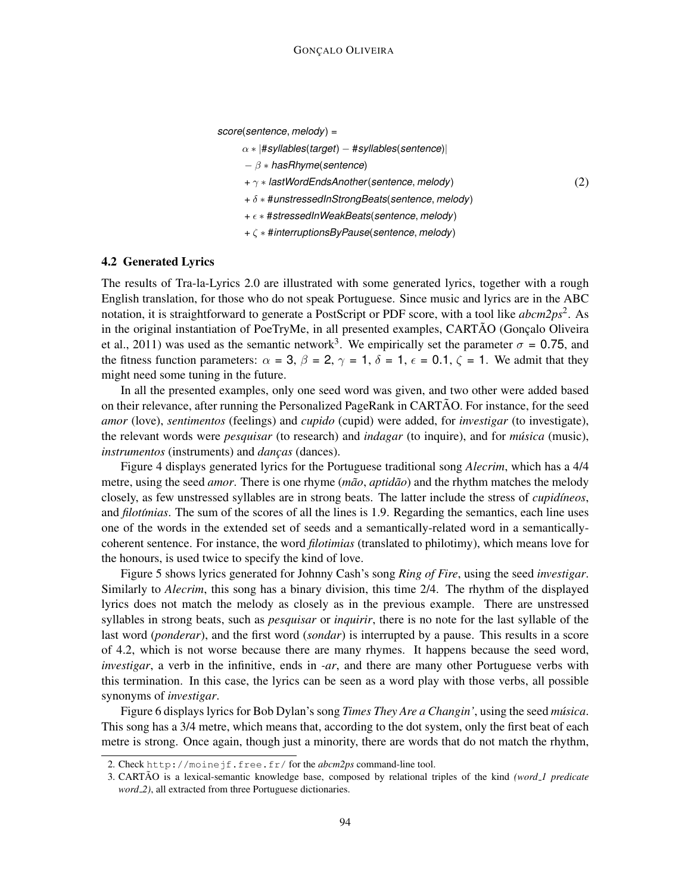*score*(*sentence*, *melody*) =

α ∗ |#*syllables*(*target*) − #*syllables*(*sentence*)|

$$
- \beta * hasR hyperbolic.\\
$$

+ γ ∗ *lastWordEndsAnother*(*sentence*, *melody*)

+ δ ∗ #*unstressedInStrongBeats*(*sentence*, *melody*)

(2)

+ ∗ #*stressedInWeakBeats*(*sentence*, *melody*)

+ ζ ∗ #*interruptionsByPause*(*sentence*, *melody*)

#### 4.2 Generated Lyrics

The results of Tra-la-Lyrics 2.0 are illustrated with some generated lyrics, together with a rough English translation, for those who do not speak Portuguese. Since music and lyrics are in the ABC notation, it is straightforward to generate a PostScript or PDF score, with a tool like *abcm2ps*<sup>2</sup> . As in the original instantiation of PoeTryMe, in all presented examples, CARTÃO (Gonçalo Oliveira et al., 2011) was used as the semantic network<sup>3</sup>. We empirically set the parameter  $\sigma = 0.75$ , and the fitness function parameters:  $\alpha = 3$ ,  $\beta = 2$ ,  $\gamma = 1$ ,  $\delta = 1$ ,  $\epsilon = 0.1$ ,  $\zeta = 1$ . We admit that they might need some tuning in the future.

In all the presented examples, only one seed word was given, and two other were added based on their relevance, after running the Personalized PageRank in CARTAO. For instance, for the seed ˜ *amor* (love), *sentimentos* (feelings) and *cupido* (cupid) were added, for *investigar* (to investigate), the relevant words were *pesquisar* (to research) and *indagar* (to inquire), and for *musica ´* (music), *instrumentos* (instruments) and *danças* (dances).

Figure 4 displays generated lyrics for the Portuguese traditional song *Alecrim*, which has a 4/4 metre, using the seed *amor*. There is one rhyme ( $m\tilde{a}o$ , *aptidao*) and the rhythm matches the melody closely, as few unstressed syllables are in strong beats. The latter include the stress of *cupid´ıneos*, and *filotímias*. The sum of the scores of all the lines is 1.9. Regarding the semantics, each line uses one of the words in the extended set of seeds and a semantically-related word in a semanticallycoherent sentence. For instance, the word *filotimias* (translated to philotimy), which means love for the honours, is used twice to specify the kind of love.

Figure 5 shows lyrics generated for Johnny Cash's song *Ring of Fire*, using the seed *investigar*. Similarly to *Alecrim*, this song has a binary division, this time 2/4. The rhythm of the displayed lyrics does not match the melody as closely as in the previous example. There are unstressed syllables in strong beats, such as *pesquisar* or *inquirir*, there is no note for the last syllable of the last word (*ponderar*), and the first word (*sondar*) is interrupted by a pause. This results in a score of 4.2, which is not worse because there are many rhymes. It happens because the seed word, *investigar*, a verb in the infinitive, ends in *-ar*, and there are many other Portuguese verbs with this termination. In this case, the lyrics can be seen as a word play with those verbs, all possible synonyms of *investigar*.

Figure 6 displays lyrics for Bob Dylan's song *Times They Are a Changin'*, using the seed *musica ´* . This song has a 3/4 metre, which means that, according to the dot system, only the first beat of each metre is strong. Once again, though just a minority, there are words that do not match the rhythm,

<sup>2.</sup> Check http://moinejf.free.fr/ for the *abcm2ps* command-line tool.

<sup>3.</sup> CARTAO is a lexical-semantic knowledge base, composed by relational triples of the kind ˜ *(word 1 predicate word 2)*, all extracted from three Portuguese dictionaries.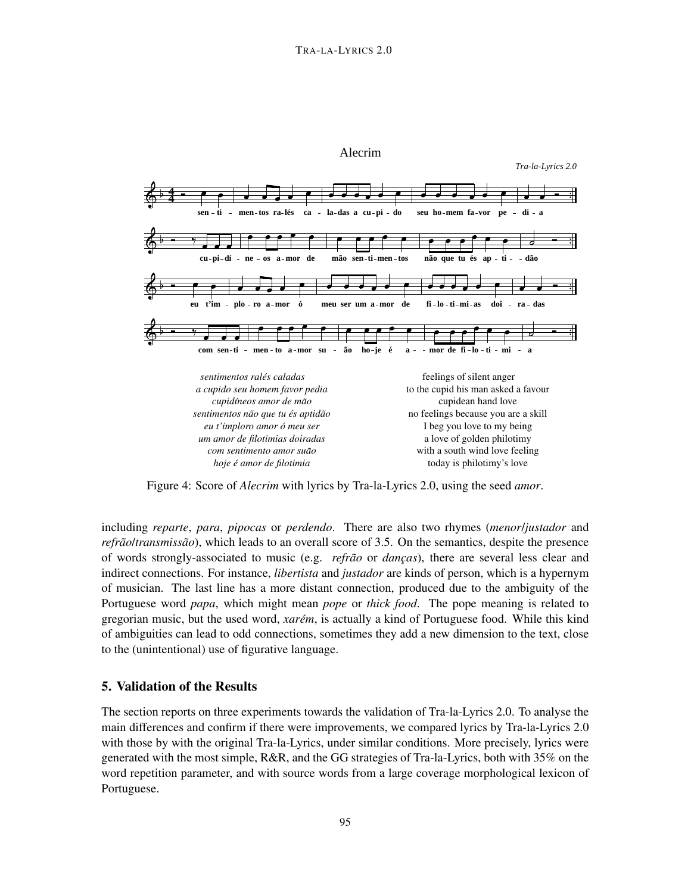



Figure 4: Score of *Alecrim* with lyrics by Tra-la-Lyrics 2.0, using the seed *amor*.

including *reparte*, *para*, *pipocas* or *perdendo*. There are also two rhymes (*menor*/*justador* and *refrão*/*transmissão*), which leads to an overall score of 3.5. On the semantics, despite the presence of words strongly-associated to music (e.g. *refrão* or *danças*), there are several less clear and indirect connections. For instance, *libertista* and *justador* are kinds of person, which is a hypernym of musician. The last line has a more distant connection, produced due to the ambiguity of the Portuguese word *papa*, which might mean *pope* or *thick food*. The pope meaning is related to gregorian music, but the used word, *xarém*, is actually a kind of Portuguese food. While this kind of ambiguities can lead to odd connections, sometimes they add a new dimension to the text, close to the (unintentional) use of figurative language.

# 5. Validation of the Results

The section reports on three experiments towards the validation of Tra-la-Lyrics 2.0. To analyse the main differences and confirm if there were improvements, we compared lyrics by Tra-la-Lyrics 2.0 with those by with the original Tra-la-Lyrics, under similar conditions. More precisely, lyrics were generated with the most simple, R&R, and the GG strategies of Tra-la-Lyrics, both with 35% on the word repetition parameter, and with source words from a large coverage morphological lexicon of Portuguese.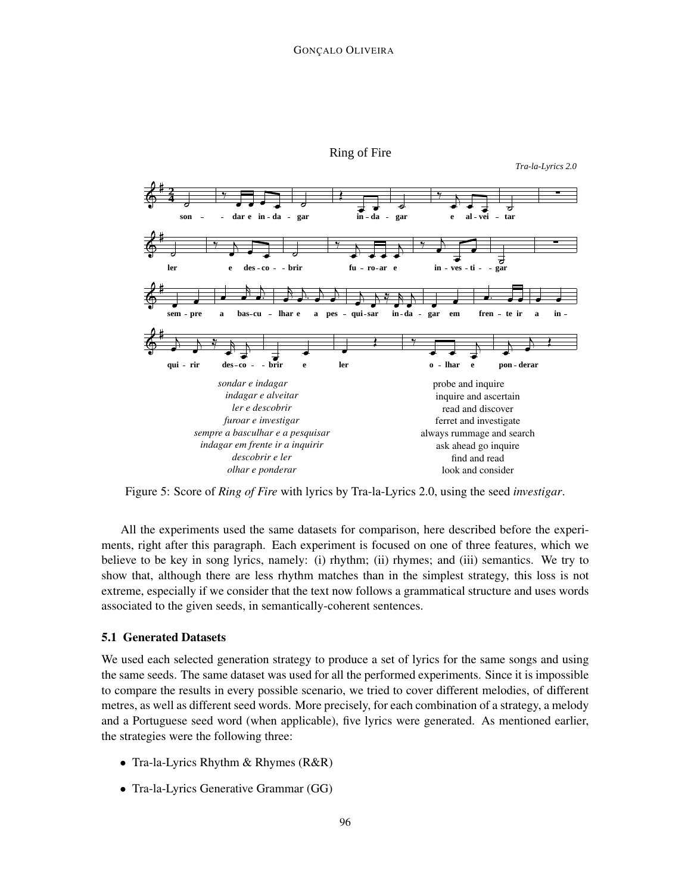

Ring of Fire

Figure 5: Score of *Ring of Fire* with lyrics by Tra-la-Lyrics 2.0, using the seed *investigar*.

All the experiments used the same datasets for comparison, here described before the experiments, right after this paragraph. Each experiment is focused on one of three features, which we believe to be key in song lyrics, namely: (i) rhythm; (ii) rhymes; and (iii) semantics. We try to show that, although there are less rhythm matches than in the simplest strategy, this loss is not extreme, especially if we consider that the text now follows a grammatical structure and uses words associated to the given seeds, in semantically-coherent sentences.

### 5.1 Generated Datasets

We used each selected generation strategy to produce a set of lyrics for the same songs and using the same seeds. The same dataset was used for all the performed experiments. Since it is impossible to compare the results in every possible scenario, we tried to cover different melodies, of different metres, as well as different seed words. More precisely, for each combination of a strategy, a melody and a Portuguese seed word (when applicable), five lyrics were generated. As mentioned earlier, the strategies were the following three:

- Tra-la-Lyrics Rhythm & Rhymes (R&R)
- Tra-la-Lyrics Generative Grammar (GG)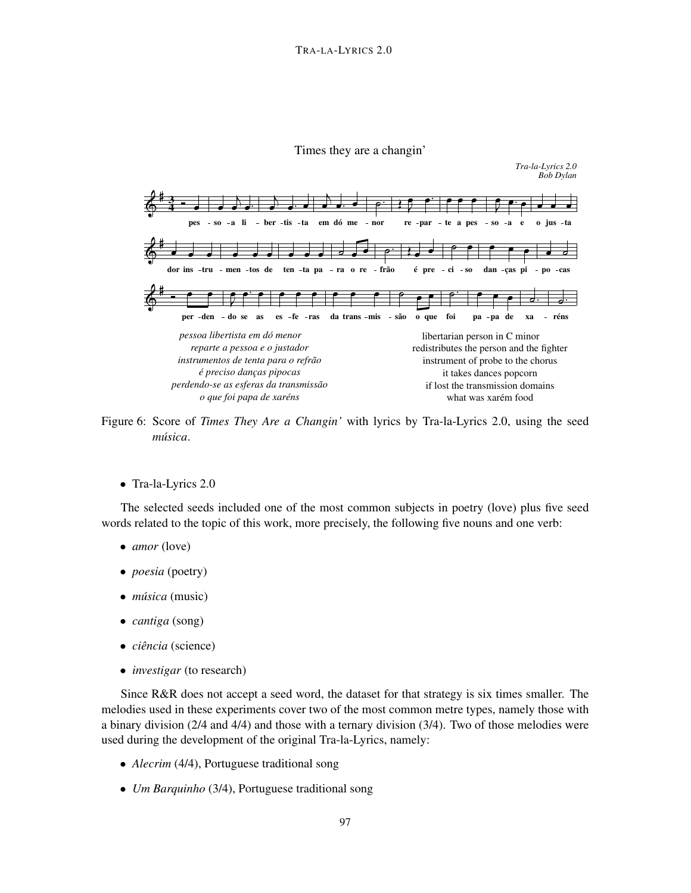

Figure 6: Score of *Times They Are a Changin'* with lyrics by Tra-la-Lyrics 2.0, using the seed  $música$ 

• Tra-la-Lyrics 2.0

The selected seeds included one of the most common subjects in poetry (love) plus five seed words related to the topic of this work, more precisely, the following five nouns and one verb:

- *amor* (love)
- *poesia* (poetry)
- *música* (music)
- *cantiga* (song)
- *ciência* (science)
- *investigar* (to research)

Since R&R does not accept a seed word, the dataset for that strategy is six times smaller. The melodies used in these experiments cover two of the most common metre types, namely those with a binary division (2/4 and 4/4) and those with a ternary division (3/4). Two of those melodies were used during the development of the original Tra-la-Lyrics, namely:

- *Alecrim* (4/4), Portuguese traditional song
- *Um Barquinho* (3/4), Portuguese traditional song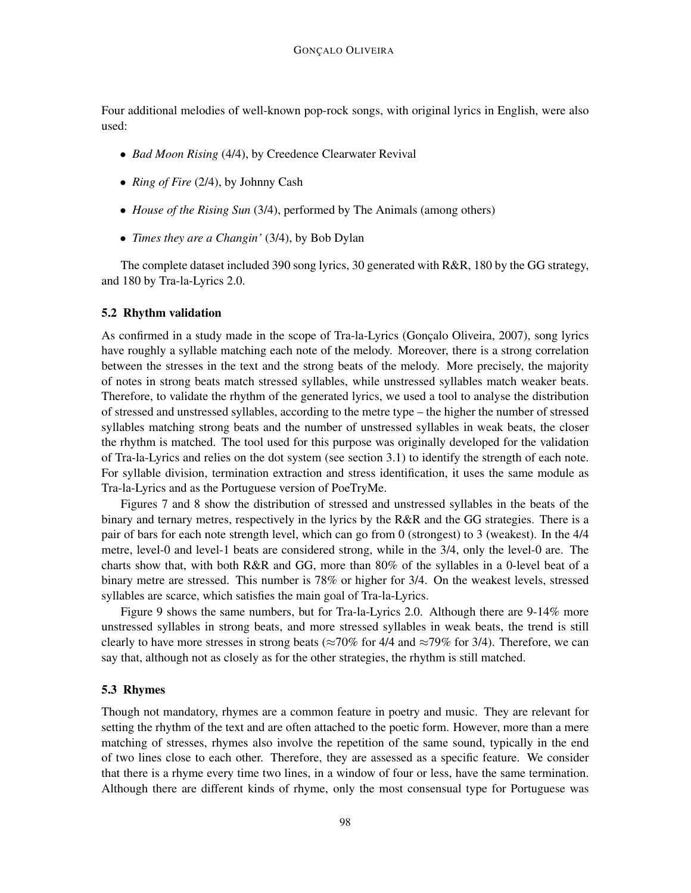Four additional melodies of well-known pop-rock songs, with original lyrics in English, were also used:

- *Bad Moon Rising* (4/4), by Creedence Clearwater Revival
- *Ring of Fire* (2/4), by Johnny Cash
- *House of the Rising Sun* (3/4), performed by The Animals (among others)
- *Times they are a Changin'* (3/4), by Bob Dylan

The complete dataset included 390 song lyrics, 30 generated with R&R, 180 by the GG strategy, and 180 by Tra-la-Lyrics 2.0.

#### 5.2 Rhythm validation

As confirmed in a study made in the scope of Tra-la-Lyrics (Gonçalo Oliveira, 2007), song lyrics have roughly a syllable matching each note of the melody. Moreover, there is a strong correlation between the stresses in the text and the strong beats of the melody. More precisely, the majority of notes in strong beats match stressed syllables, while unstressed syllables match weaker beats. Therefore, to validate the rhythm of the generated lyrics, we used a tool to analyse the distribution of stressed and unstressed syllables, according to the metre type – the higher the number of stressed syllables matching strong beats and the number of unstressed syllables in weak beats, the closer the rhythm is matched. The tool used for this purpose was originally developed for the validation of Tra-la-Lyrics and relies on the dot system (see section 3.1) to identify the strength of each note. For syllable division, termination extraction and stress identification, it uses the same module as Tra-la-Lyrics and as the Portuguese version of PoeTryMe.

Figures 7 and 8 show the distribution of stressed and unstressed syllables in the beats of the binary and ternary metres, respectively in the lyrics by the R&R and the GG strategies. There is a pair of bars for each note strength level, which can go from 0 (strongest) to 3 (weakest). In the 4/4 metre, level-0 and level-1 beats are considered strong, while in the 3/4, only the level-0 are. The charts show that, with both R&R and GG, more than 80% of the syllables in a 0-level beat of a binary metre are stressed. This number is 78% or higher for 3/4. On the weakest levels, stressed syllables are scarce, which satisfies the main goal of Tra-la-Lyrics.

Figure 9 shows the same numbers, but for Tra-la-Lyrics 2.0. Although there are 9-14% more unstressed syllables in strong beats, and more stressed syllables in weak beats, the trend is still clearly to have more stresses in strong beats ( $\approx$ 70% for 4/4 and  $\approx$ 79% for 3/4). Therefore, we can say that, although not as closely as for the other strategies, the rhythm is still matched.

#### 5.3 Rhymes

Though not mandatory, rhymes are a common feature in poetry and music. They are relevant for setting the rhythm of the text and are often attached to the poetic form. However, more than a mere matching of stresses, rhymes also involve the repetition of the same sound, typically in the end of two lines close to each other. Therefore, they are assessed as a specific feature. We consider that there is a rhyme every time two lines, in a window of four or less, have the same termination. Although there are different kinds of rhyme, only the most consensual type for Portuguese was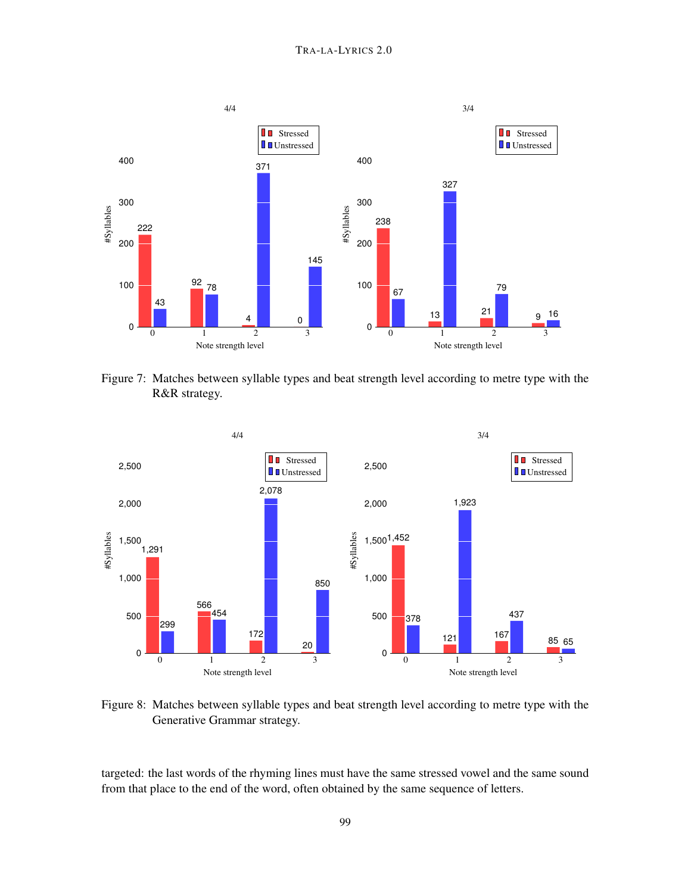

Figure 7: Matches between syllable types and beat strength level according to metre type with the R&R strategy.



Figure 8: Matches between syllable types and beat strength level according to metre type with the Generative Grammar strategy.

targeted: the last words of the rhyming lines must have the same stressed vowel and the same sound from that place to the end of the word, often obtained by the same sequence of letters.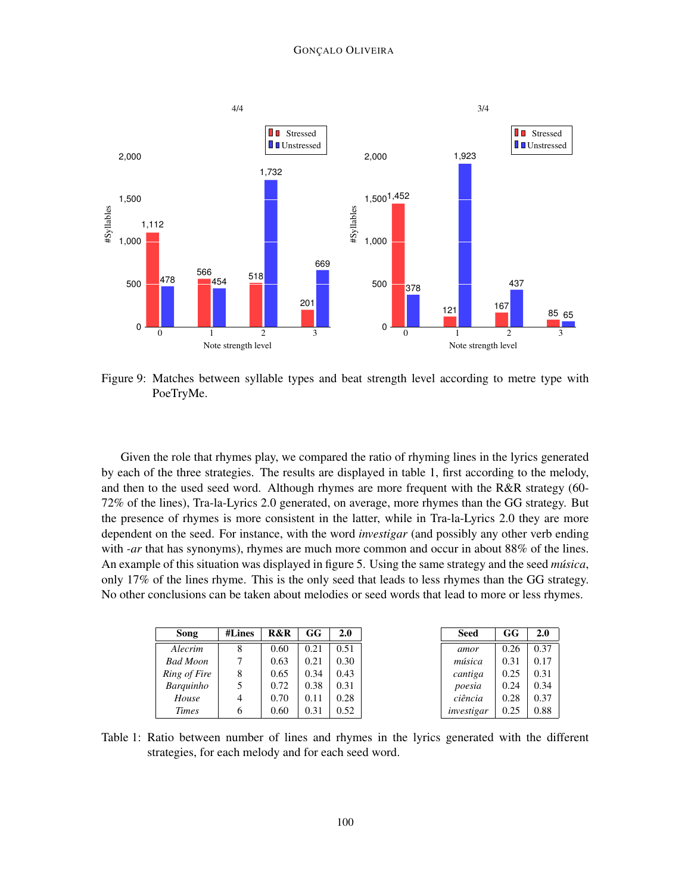

Figure 9: Matches between syllable types and beat strength level according to metre type with PoeTryMe.

Given the role that rhymes play, we compared the ratio of rhyming lines in the lyrics generated by each of the three strategies. The results are displayed in table 1, first according to the melody, and then to the used seed word. Although rhymes are more frequent with the R&R strategy (60- 72% of the lines), Tra-la-Lyrics 2.0 generated, on average, more rhymes than the GG strategy. But the presence of rhymes is more consistent in the latter, while in Tra-la-Lyrics 2.0 they are more dependent on the seed. For instance, with the word *investigar* (and possibly any other verb ending with *-ar* that has synonyms), rhymes are much more common and occur in about 88% of the lines. An example of this situation was displayed in figure 5. Using the same strategy and the seed *musica ´* , only 17% of the lines rhyme. This is the only seed that leads to less rhymes than the GG strategy. No other conclusions can be taken about melodies or seed words that lead to more or less rhymes.

| #Lines | R&R  | GG   | 2.0  |
|--------|------|------|------|
|        | 0.60 | 0.21 | 0.51 |
|        | 0.63 | 0.21 | 0.30 |
| 8      | 0.65 | 0.34 | 0.43 |
| 5      | 0.72 | 0.38 | 0.31 |
|        | 0.70 | 0.11 | 0.28 |
| 6      | 0.60 | 0.31 | 0.52 |
|        |      |      |      |

| Seed       | GG   | 2.0  |
|------------|------|------|
| amor       | 0.26 | 0.37 |
| música     | 0.31 | 0.17 |
| cantiga    | 0.25 | 0.31 |
| poesia     | 0.24 | 0.34 |
| ciência    | 0.28 | 0.37 |
| investigar | 0.25 | 0.88 |

Table 1: Ratio between number of lines and rhymes in the lyrics generated with the different strategies, for each melody and for each seed word.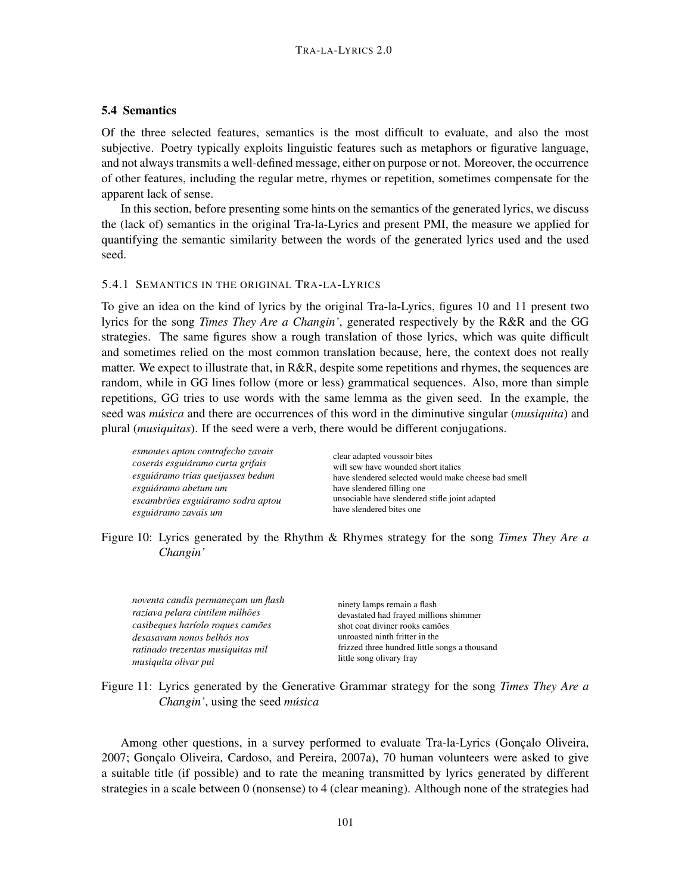## 5.4 Semantics

Of the three selected features, semantics is the most difficult to evaluate, and also the most subjective. Poetry typically exploits linguistic features such as metaphors or figurative language, and not always transmits a well-defined message, either on purpose or not. Moreover, the occurrence of other features, including the regular metre, rhymes or repetition, sometimes compensate for the apparent lack of sense.

In this section, before presenting some hints on the semantics of the generated lyrics, we discuss the (lack of) semantics in the original Tra-la-Lyrics and present PMI, the measure we applied for quantifying the semantic similarity between the words of the generated lyrics used and the used seed.

#### 5.4.1 SEMANTICS IN THE ORIGINAL TRA-LA-LYRICS

To give an idea on the kind of lyrics by the original Tra-la-Lyrics, figures 10 and 11 present two lyrics for the song *Times They Are a Changin'*, generated respectively by the R&R and the GG strategies. The same figures show a rough translation of those lyrics, which was quite difficult and sometimes relied on the most common translation because, here, the context does not really matter. We expect to illustrate that, in  $R\&R$ , despite some repetitions and rhymes, the sequences are random, while in GG lines follow (more or less) grammatical sequences. Also, more than simple repetitions, GG tries to use words with the same lemma as the given seed. In the example, the seed was *musica* and there are occurrences of this word in the diminutive singular *(musiquita)* and plural (*musiquitas*). If the seed were a verb, there would be different conjugations.

| esmoutes aptou contrafecho zavais |
|-----------------------------------|
| coserás esguiáramo curta grifais  |
| esguiáramo trias queijasses bedum |
| esguiáramo abetum um              |
| escambrões esguiáramo sodra aptou |
| esguiáramo zavais um              |

clear adapted voussoir bites will sew have wounded short italics have slendered selected would make cheese bad smell have slendered filling one unsociable have slendered stifle joint adapted have slendered bites one

Figure 10: Lyrics generated by the Rhythm & Rhymes strategy for the song *Times They Are a Changin'*

*noventa candis permanec¸am um flash*  $raziava$  pelara cintilem milhões  $casibegues haríolo roques camões$  $desasavam$  nonos belhós nos *ratinado trezentas musiquitas mil musiquita olivar pui*

ninety lamps remain a flash devastated had frayed millions shimmer shot coat diviner rooks camões unroasted ninth fritter in the frizzed three hundred little songs a thousand little song olivary fray

Figure 11: Lyrics generated by the Generative Grammar strategy for the song *Times They Are a Changin'*, using the seed *música* 

Among other questions, in a survey performed to evaluate Tra-la-Lyrics (Gonçalo Oliveira, 2007; Goncalo Oliveira, Cardoso, and Pereira, 2007a), 70 human volunteers were asked to give a suitable title (if possible) and to rate the meaning transmitted by lyrics generated by different strategies in a scale between 0 (nonsense) to 4 (clear meaning). Although none of the strategies had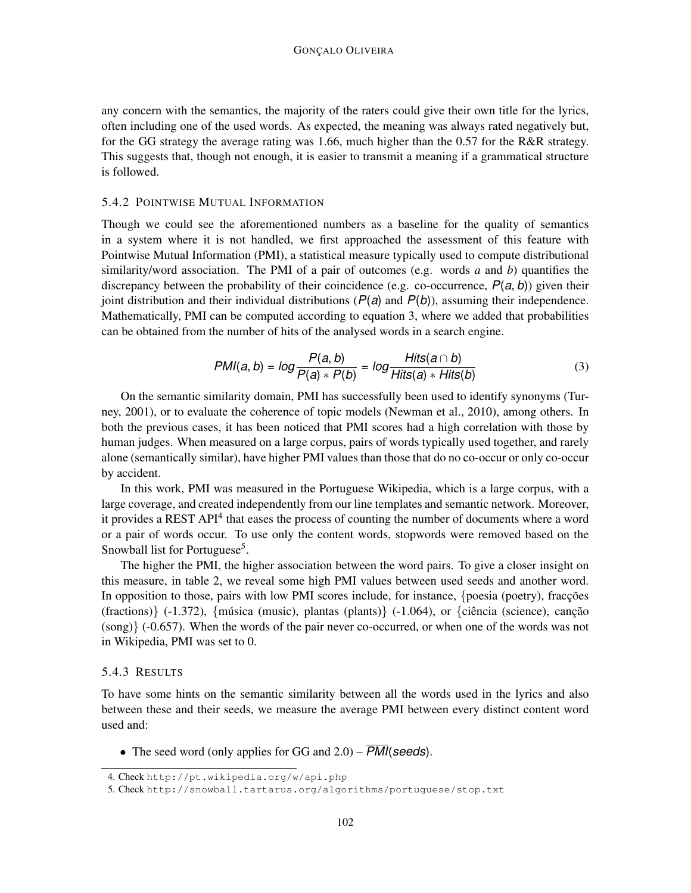any concern with the semantics, the majority of the raters could give their own title for the lyrics, often including one of the used words. As expected, the meaning was always rated negatively but, for the GG strategy the average rating was 1.66, much higher than the 0.57 for the R&R strategy. This suggests that, though not enough, it is easier to transmit a meaning if a grammatical structure is followed.

#### 5.4.2 POINTWISE MUTUAL INFORMATION

Though we could see the aforementioned numbers as a baseline for the quality of semantics in a system where it is not handled, we first approached the assessment of this feature with Pointwise Mutual Information (PMI), a statistical measure typically used to compute distributional similarity/word association. The PMI of a pair of outcomes (e.g. words *a* and *b*) quantifies the discrepancy between the probability of their coincidence (e.g. co-occurrence,  $P(a, b)$ ) given their joint distribution and their individual distributions (*P*(*a*) and *P*(*b*)), assuming their independence. Mathematically, PMI can be computed according to equation 3, where we added that probabilities can be obtained from the number of hits of the analysed words in a search engine.

$$
PMI(a, b) = log \frac{P(a, b)}{P(a) * P(b)} = log \frac{Hist(a \cap b)}{Hist(a) * Hist(b)}
$$
(3)

On the semantic similarity domain, PMI has successfully been used to identify synonyms (Turney, 2001), or to evaluate the coherence of topic models (Newman et al., 2010), among others. In both the previous cases, it has been noticed that PMI scores had a high correlation with those by human judges. When measured on a large corpus, pairs of words typically used together, and rarely alone (semantically similar), have higher PMI values than those that do no co-occur or only co-occur by accident.

In this work, PMI was measured in the Portuguese Wikipedia, which is a large corpus, with a large coverage, and created independently from our line templates and semantic network. Moreover, it provides a REST API<sup>4</sup> that eases the process of counting the number of documents where a word or a pair of words occur. To use only the content words, stopwords were removed based on the Snowball list for Portuguese<sup>5</sup>.

The higher the PMI, the higher association between the word pairs. To give a closer insight on this measure, in table 2, we reveal some high PMI values between used seeds and another word. In opposition to those, pairs with low PMI scores include, for instance,  $\{\text{poesia (poetry)}\}$ , fracções (fractions) { $(-1.372)$ , {música (music), plantas (plants) { $(-1.064)$ , or {ciência (science), canção (song)} (-0.657). When the words of the pair never co-occurred, or when one of the words was not in Wikipedia, PMI was set to 0.

#### 5.4.3 RESULTS

To have some hints on the semantic similarity between all the words used in the lyrics and also between these and their seeds, we measure the average PMI between every distinct content word used and:

• The seed word (only applies for GG and 2.0) – *PMI*(*seeds*).

<sup>4.</sup> Check http://pt.wikipedia.org/w/api.php

<sup>5.</sup> Check http://snowball.tartarus.org/algorithms/portuguese/stop.txt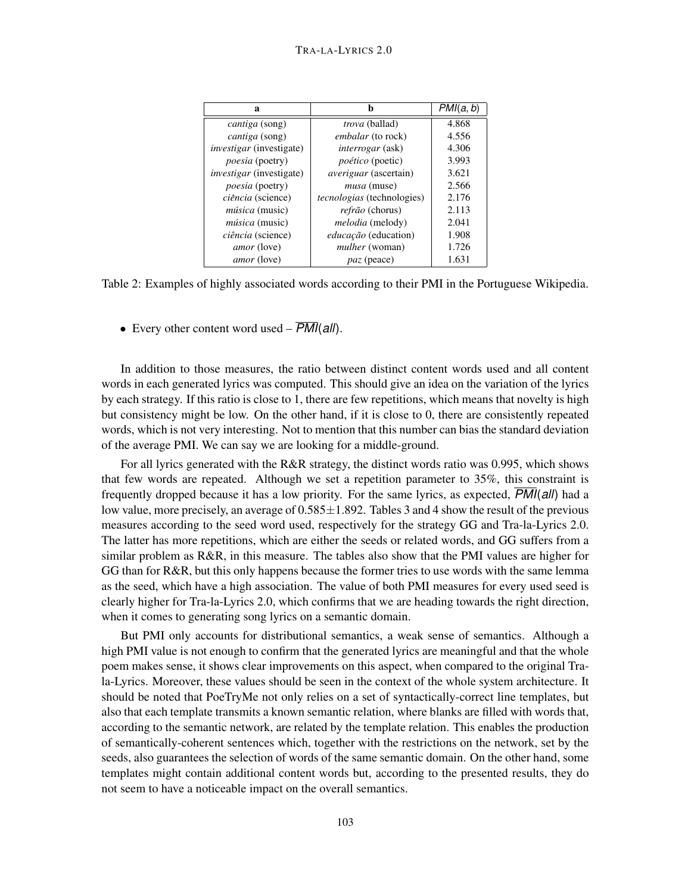| а                               | h                                 | PMI(a, b) |
|---------------------------------|-----------------------------------|-----------|
| <i>cantiga</i> (song)           | <i>trova</i> (ballad)             | 4.868     |
| cantiga (song)                  | embalar (to rock)                 | 4.556     |
| investigar (investigate)        | <i>interrogar</i> (ask)           | 4.306     |
| <i>poesia</i> (poetry)          | <i>poético</i> (poetic)           | 3.993     |
| <i>investigar</i> (investigate) | <i>averiguar</i> (ascertain)      | 3.621     |
| <i>poesia</i> (poetry)          | <i>musa</i> (muse)                | 2.566     |
| ciência (science)               | <i>tecnologias</i> (technologies) | 2.176     |
| <i>música</i> (music)           | refrão (chorus)                   | 2.113     |
| música (music)                  | <i>melodia</i> (melody)           | 2.041     |
| ciência (science)               | educação (education)              | 1.908     |
| <i>amor</i> (love)              | <i>mulher</i> (woman)             | 1.726     |
| <i>amor</i> (love)              | <i>paz</i> (peace)                | 1.631     |

Table 2: Examples of highly associated words according to their PMI in the Portuguese Wikipedia.

• Every other content word used – *PMI*(*all*).

In addition to those measures, the ratio between distinct content words used and all content words in each generated lyrics was computed. This should give an idea on the variation of the lyrics by each strategy. If this ratio is close to 1, there are few repetitions, which means that novelty is high but consistency might be low. On the other hand, if it is close to 0, there are consistently repeated words, which is not very interesting. Not to mention that this number can bias the standard deviation of the average PMI. We can say we are looking for a middle-ground.

For all lyrics generated with the R&R strategy, the distinct words ratio was 0.995, which shows that few words are repeated. Although we set a repetition parameter to 35%, this constraint is frequently dropped because it has a low priority. For the same lyrics, as expected, *PMI*(*all*) had a low value, more precisely, an average of  $0.585 \pm 1.892$ . Tables 3 and 4 show the result of the previous measures according to the seed word used, respectively for the strategy GG and Tra-la-Lyrics 2.0. The latter has more repetitions, which are either the seeds or related words, and GG suffers from a similar problem as R&R, in this measure. The tables also show that the PMI values are higher for GG than for R&R, but this only happens because the former tries to use words with the same lemma as the seed, which have a high association. The value of both PMI measures for every used seed is clearly higher for Tra-la-Lyrics 2.0, which confirms that we are heading towards the right direction, when it comes to generating song lyrics on a semantic domain.

But PMI only accounts for distributional semantics, a weak sense of semantics. Although a high PMI value is not enough to confirm that the generated lyrics are meaningful and that the whole poem makes sense, it shows clear improvements on this aspect, when compared to the original Trala-Lyrics. Moreover, these values should be seen in the context of the whole system architecture. It should be noted that PoeTryMe not only relies on a set of syntactically-correct line templates, but also that each template transmits a known semantic relation, where blanks are filled with words that, according to the semantic network, are related by the template relation. This enables the production of semantically-coherent sentences which, together with the restrictions on the network, set by the seeds, also guarantees the selection of words of the same semantic domain. On the other hand, some templates might contain additional content words but, according to the presented results, they do not seem to have a noticeable impact on the overall semantics.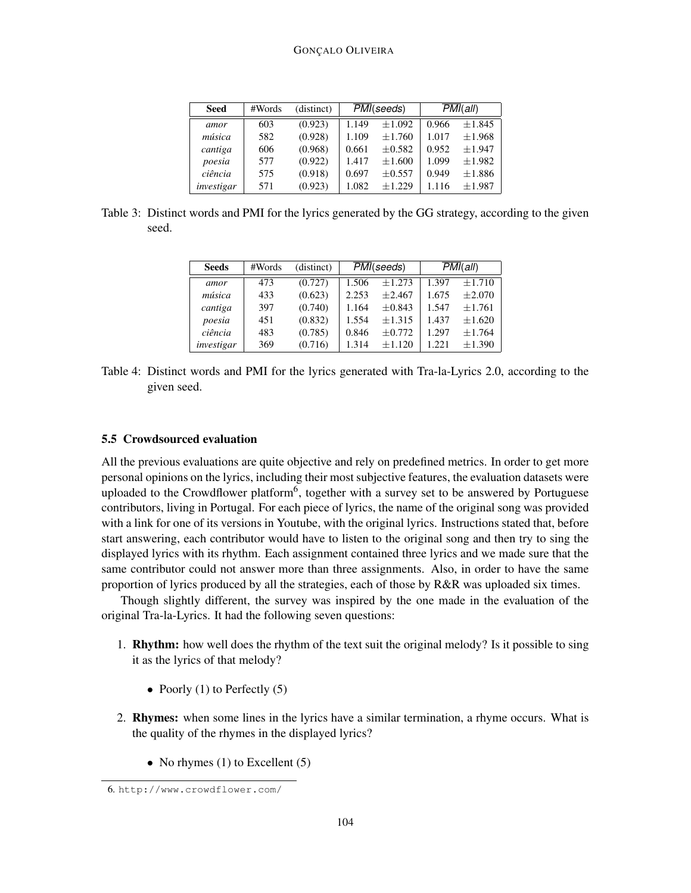| <b>Seed</b> | #Words | (distinct) | PMI(seeds) |             | PMI(all) |          |
|-------------|--------|------------|------------|-------------|----------|----------|
| amor        | 603    | (0.923)    | 1.149      | $+1.092$    | 0.966    | $+1.845$ |
| música      | 582    | (0.928)    | 1.109      | $+1.760$    | 1.017    | ±1.968   |
| cantiga     | 606    | (0.968)    | 0.661      | $\pm 0.582$ | 0.952    | $+1.947$ |
| poesia      | 577    | (0.922)    | 1.417      | $+1.600$    | 1.099    | $+1.982$ |
| ciência     | 575    | (0.918)    | 0.697      | $+0.557$    | 0.949    | $+1.886$ |
| investigar  | 571    | (0.923)    | 1.082      | $+1.229$    | 1.116    | $+1.987$ |

| Table 3: Distinct words and PMI for the lyrics generated by the GG strategy, according to the given |  |  |  |
|-----------------------------------------------------------------------------------------------------|--|--|--|
| seed.                                                                                               |  |  |  |

| <b>Seeds</b> | #Words | PMI(seeds)<br>(distinct) |       | PMI(all) |       |             |
|--------------|--------|--------------------------|-------|----------|-------|-------------|
| amor         | 473    | (0.727)                  | 1.506 | $+1.273$ | 1.397 | $+1.710$    |
| música       | 433    | (0.623)                  | 2.253 | $+2.467$ | 1.675 | $+2.070$    |
| cantiga      | 397    | (0.740)                  | 1.164 | $+0.843$ | 1.547 | $+1.761$    |
| poesia       | 451    | (0.832)                  | 1.554 | $+1.315$ | 1.437 | $+1.620$    |
| ciência      | 483    | (0.785)                  | 0.846 | $+0.772$ | 1.297 | $+1.764$    |
| investigar   | 369    | (0.716)                  | 1.314 | $+1.120$ | 1.221 | $\pm 1.390$ |

Table 4: Distinct words and PMI for the lyrics generated with Tra-la-Lyrics 2.0, according to the given seed.

### 5.5 Crowdsourced evaluation

All the previous evaluations are quite objective and rely on predefined metrics. In order to get more personal opinions on the lyrics, including their most subjective features, the evaluation datasets were uploaded to the Crowdflower platform<sup>6</sup>, together with a survey set to be answered by Portuguese contributors, living in Portugal. For each piece of lyrics, the name of the original song was provided with a link for one of its versions in Youtube, with the original lyrics. Instructions stated that, before start answering, each contributor would have to listen to the original song and then try to sing the displayed lyrics with its rhythm. Each assignment contained three lyrics and we made sure that the same contributor could not answer more than three assignments. Also, in order to have the same proportion of lyrics produced by all the strategies, each of those by R&R was uploaded six times.

Though slightly different, the survey was inspired by the one made in the evaluation of the original Tra-la-Lyrics. It had the following seven questions:

- 1. Rhythm: how well does the rhythm of the text suit the original melody? Is it possible to sing it as the lyrics of that melody?
	- Poorly  $(1)$  to Perfectly  $(5)$
- 2. Rhymes: when some lines in the lyrics have a similar termination, a rhyme occurs. What is the quality of the rhymes in the displayed lyrics?
	- No rhymes  $(1)$  to Excellent  $(5)$

<sup>6.</sup> http://www.crowdflower.com/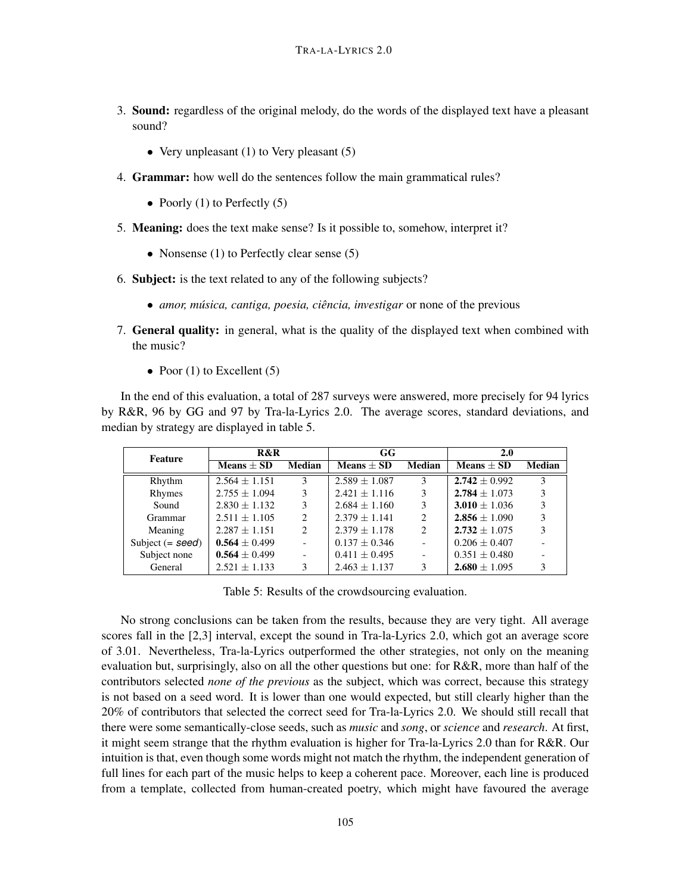- 3. Sound: regardless of the original melody, do the words of the displayed text have a pleasant sound?
	- Very unpleasant  $(1)$  to Very pleasant  $(5)$
- 4. Grammar: how well do the sentences follow the main grammatical rules?
	- Poorly  $(1)$  to Perfectly  $(5)$
- 5. Meaning: does the text make sense? Is it possible to, somehow, interpret it?
	- Nonsense (1) to Perfectly clear sense (5)
- 6. Subject: is the text related to any of the following subjects?
	- *amor, música, cantiga, poesia, ciência, investigar* or none of the previous
- 7. General quality: in general, what is the quality of the displayed text when combined with the music?
	- Poor  $(1)$  to Excellent  $(5)$

In the end of this evaluation, a total of 287 surveys were answered, more precisely for 94 lyrics by R&R, 96 by GG and 97 by Tra-la-Lyrics 2.0. The average scores, standard deviations, and median by strategy are displayed in table 5.

| Feature           | R&R               |                             | GG                |                          | 2.0               |        |
|-------------------|-------------------|-----------------------------|-------------------|--------------------------|-------------------|--------|
|                   | Means $\pm$ SD    | <b>Median</b>               | Means $\pm$ SD    | <b>Median</b>            | Means $\pm$ SD    | Median |
| Rhythm            | $2.564 \pm 1.151$ | 3                           | $2.589 \pm 1.087$ | 3                        | $2.742 + 0.992$   | 3      |
| Rhymes            | $2.755 \pm 1.094$ | 3                           | $2.421 \pm 1.116$ | 3                        | $2.784 + 1.073$   |        |
| Sound             | $2.830 + 1.132$   | 3                           | $2.684 + 1.160$   | 3                        | $3.010 + 1.036$   | 3      |
| Grammar           | $2.511 + 1.105$   | 2                           | $2.379 \pm 1.141$ | 2                        | $2.856 \pm 1.090$ | 3      |
| Meaning           | $2.287 + 1.151$   | $\mathcal{D}_{\mathcal{L}}$ | $2.379 + 1.178$   | 2                        | $2.732 + 1.075$   | 3      |
| Subject $(=seed)$ | $0.564 \pm 0.499$ | $\blacksquare$              | $0.137 \pm 0.346$ |                          | $0.206 \pm 0.407$ |        |
| Subject none      | $0.564 \pm 0.499$ | $\overline{\phantom{a}}$    | $0.411 \pm 0.495$ | $\overline{\phantom{a}}$ | $0.351 \pm 0.480$ |        |
| General           | $2.521 \pm 1.133$ | 3                           | $2.463 \pm 1.137$ | 3                        | $2.680 \pm 1.095$ | 3      |

Table 5: Results of the crowdsourcing evaluation.

No strong conclusions can be taken from the results, because they are very tight. All average scores fall in the [2,3] interval, except the sound in Tra-la-Lyrics 2.0, which got an average score of 3.01. Nevertheless, Tra-la-Lyrics outperformed the other strategies, not only on the meaning evaluation but, surprisingly, also on all the other questions but one: for R&R, more than half of the contributors selected *none of the previous* as the subject, which was correct, because this strategy is not based on a seed word. It is lower than one would expected, but still clearly higher than the 20% of contributors that selected the correct seed for Tra-la-Lyrics 2.0. We should still recall that there were some semantically-close seeds, such as *music* and *song*, or *science* and *research*. At first, it might seem strange that the rhythm evaluation is higher for Tra-la-Lyrics 2.0 than for R&R. Our intuition is that, even though some words might not match the rhythm, the independent generation of full lines for each part of the music helps to keep a coherent pace. Moreover, each line is produced from a template, collected from human-created poetry, which might have favoured the average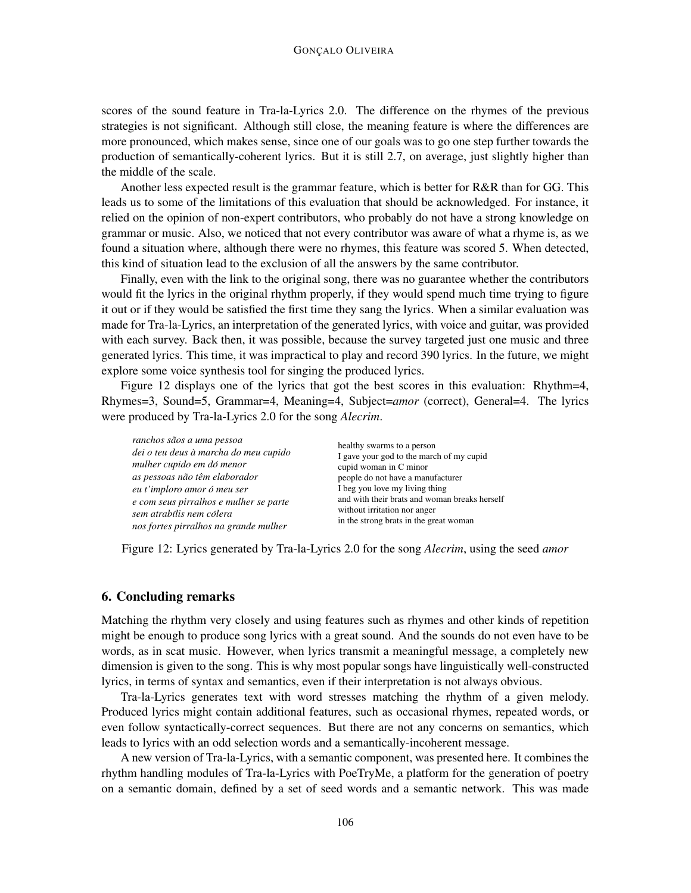scores of the sound feature in Tra-la-Lyrics 2.0. The difference on the rhymes of the previous strategies is not significant. Although still close, the meaning feature is where the differences are more pronounced, which makes sense, since one of our goals was to go one step further towards the production of semantically-coherent lyrics. But it is still 2.7, on average, just slightly higher than the middle of the scale.

Another less expected result is the grammar feature, which is better for R&R than for GG. This leads us to some of the limitations of this evaluation that should be acknowledged. For instance, it relied on the opinion of non-expert contributors, who probably do not have a strong knowledge on grammar or music. Also, we noticed that not every contributor was aware of what a rhyme is, as we found a situation where, although there were no rhymes, this feature was scored 5. When detected, this kind of situation lead to the exclusion of all the answers by the same contributor.

Finally, even with the link to the original song, there was no guarantee whether the contributors would fit the lyrics in the original rhythm properly, if they would spend much time trying to figure it out or if they would be satisfied the first time they sang the lyrics. When a similar evaluation was made for Tra-la-Lyrics, an interpretation of the generated lyrics, with voice and guitar, was provided with each survey. Back then, it was possible, because the survey targeted just one music and three generated lyrics. This time, it was impractical to play and record 390 lyrics. In the future, we might explore some voice synthesis tool for singing the produced lyrics.

Figure 12 displays one of the lyrics that got the best scores in this evaluation: Rhythm=4, Rhymes=3, Sound=5, Grammar=4, Meaning=4, Subject=*amor* (correct), General=4. The lyrics were produced by Tra-la-Lyrics 2.0 for the song *Alecrim*.

| ranchos sãos a uma pessoa              |
|----------------------------------------|
| dei o teu deus à marcha do meu cupido  |
| mulher cupido em dó menor              |
| as pessoas não têm elaborador          |
| eu t'imploro amor ó meu ser            |
| e com seus pirralhos e mulher se parte |
| sem atrabílis nem cólera               |
| nos fortes pirralhos na grande mulher  |

healthy swarms to a person I gave your god to the march of my cupid cupid woman in C minor people do not have a manufacturer I beg you love my living thing and with their brats and woman breaks herself without irritation nor anger in the strong brats in the great woman

Figure 12: Lyrics generated by Tra-la-Lyrics 2.0 for the song *Alecrim*, using the seed *amor*

# 6. Concluding remarks

Matching the rhythm very closely and using features such as rhymes and other kinds of repetition might be enough to produce song lyrics with a great sound. And the sounds do not even have to be words, as in scat music. However, when lyrics transmit a meaningful message, a completely new dimension is given to the song. This is why most popular songs have linguistically well-constructed lyrics, in terms of syntax and semantics, even if their interpretation is not always obvious.

Tra-la-Lyrics generates text with word stresses matching the rhythm of a given melody. Produced lyrics might contain additional features, such as occasional rhymes, repeated words, or even follow syntactically-correct sequences. But there are not any concerns on semantics, which leads to lyrics with an odd selection words and a semantically-incoherent message.

A new version of Tra-la-Lyrics, with a semantic component, was presented here. It combines the rhythm handling modules of Tra-la-Lyrics with PoeTryMe, a platform for the generation of poetry on a semantic domain, defined by a set of seed words and a semantic network. This was made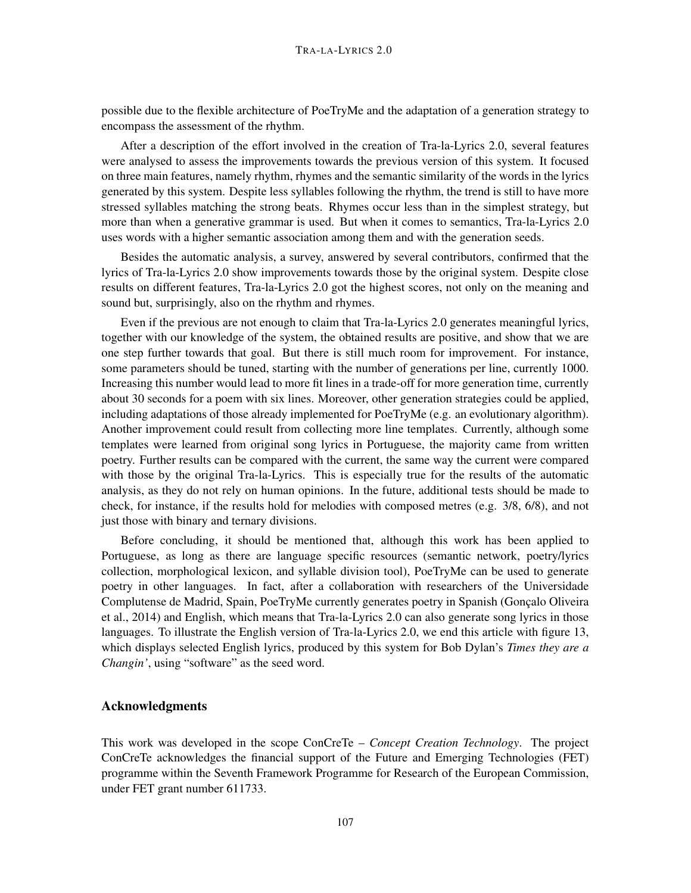possible due to the flexible architecture of PoeTryMe and the adaptation of a generation strategy to encompass the assessment of the rhythm.

After a description of the effort involved in the creation of Tra-la-Lyrics 2.0, several features were analysed to assess the improvements towards the previous version of this system. It focused on three main features, namely rhythm, rhymes and the semantic similarity of the words in the lyrics generated by this system. Despite less syllables following the rhythm, the trend is still to have more stressed syllables matching the strong beats. Rhymes occur less than in the simplest strategy, but more than when a generative grammar is used. But when it comes to semantics, Tra-la-Lyrics 2.0 uses words with a higher semantic association among them and with the generation seeds.

Besides the automatic analysis, a survey, answered by several contributors, confirmed that the lyrics of Tra-la-Lyrics 2.0 show improvements towards those by the original system. Despite close results on different features, Tra-la-Lyrics 2.0 got the highest scores, not only on the meaning and sound but, surprisingly, also on the rhythm and rhymes.

Even if the previous are not enough to claim that Tra-la-Lyrics 2.0 generates meaningful lyrics, together with our knowledge of the system, the obtained results are positive, and show that we are one step further towards that goal. But there is still much room for improvement. For instance, some parameters should be tuned, starting with the number of generations per line, currently 1000. Increasing this number would lead to more fit lines in a trade-off for more generation time, currently about 30 seconds for a poem with six lines. Moreover, other generation strategies could be applied, including adaptations of those already implemented for PoeTryMe (e.g. an evolutionary algorithm). Another improvement could result from collecting more line templates. Currently, although some templates were learned from original song lyrics in Portuguese, the majority came from written poetry. Further results can be compared with the current, the same way the current were compared with those by the original Tra-la-Lyrics. This is especially true for the results of the automatic analysis, as they do not rely on human opinions. In the future, additional tests should be made to check, for instance, if the results hold for melodies with composed metres (e.g. 3/8, 6/8), and not just those with binary and ternary divisions.

Before concluding, it should be mentioned that, although this work has been applied to Portuguese, as long as there are language specific resources (semantic network, poetry/lyrics collection, morphological lexicon, and syllable division tool), PoeTryMe can be used to generate poetry in other languages. In fact, after a collaboration with researchers of the Universidade Complutense de Madrid, Spain, PoeTryMe currently generates poetry in Spanish (Gonçalo Oliveira) et al., 2014) and English, which means that Tra-la-Lyrics 2.0 can also generate song lyrics in those languages. To illustrate the English version of Tra-la-Lyrics 2.0, we end this article with figure 13, which displays selected English lyrics, produced by this system for Bob Dylan's *Times they are a Changin'*, using "software" as the seed word.

# Acknowledgments

This work was developed in the scope ConCreTe – *Concept Creation Technology*. The project ConCreTe acknowledges the financial support of the Future and Emerging Technologies (FET) programme within the Seventh Framework Programme for Research of the European Commission, under FET grant number 611733.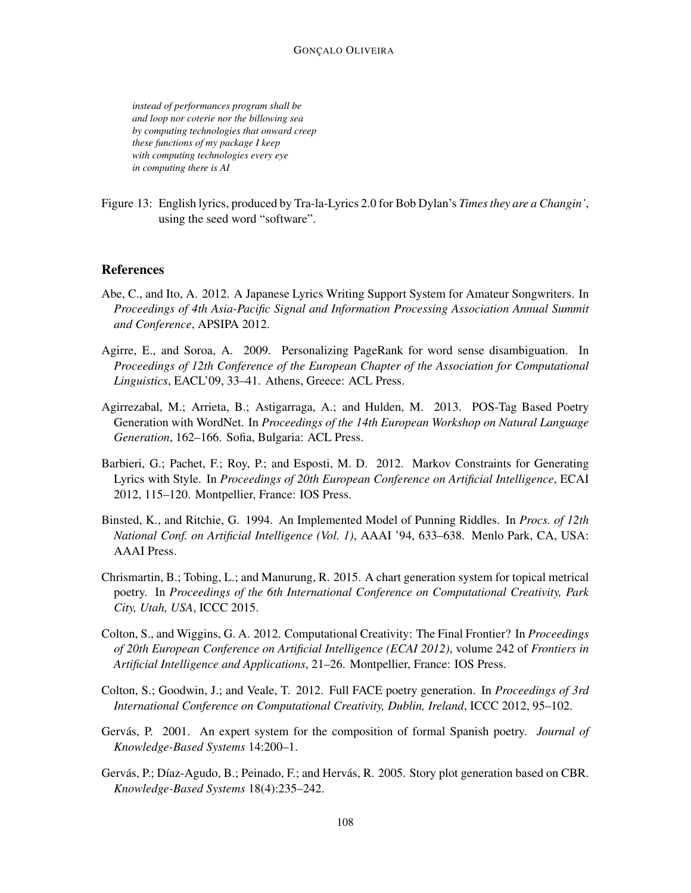*instead of performances program shall be and loop nor coterie nor the billowing sea by computing technologies that onward creep these functions of my package I keep with computing technologies every eye in computing there is AI*

Figure 13: English lyrics, produced by Tra-la-Lyrics 2.0 for Bob Dylan's *Times they are a Changin'*, using the seed word "software".

### **References**

- Abe, C., and Ito, A. 2012. A Japanese Lyrics Writing Support System for Amateur Songwriters. In *Proceedings of 4th Asia-Pacific Signal and Information Processing Association Annual Summit and Conference*, APSIPA 2012.
- Agirre, E., and Soroa, A. 2009. Personalizing PageRank for word sense disambiguation. In *Proceedings of 12th Conference of the European Chapter of the Association for Computational Linguistics*, EACL'09, 33–41. Athens, Greece: ACL Press.
- Agirrezabal, M.; Arrieta, B.; Astigarraga, A.; and Hulden, M. 2013. POS-Tag Based Poetry Generation with WordNet. In *Proceedings of the 14th European Workshop on Natural Language Generation*, 162–166. Sofia, Bulgaria: ACL Press.
- Barbieri, G.; Pachet, F.; Roy, P.; and Esposti, M. D. 2012. Markov Constraints for Generating Lyrics with Style. In *Proceedings of 20th European Conference on Artificial Intelligence*, ECAI 2012, 115–120. Montpellier, France: IOS Press.
- Binsted, K., and Ritchie, G. 1994. An Implemented Model of Punning Riddles. In *Procs. of 12th National Conf. on Artificial Intelligence (Vol. 1)*, AAAI '94, 633–638. Menlo Park, CA, USA: AAAI Press.
- Chrismartin, B.; Tobing, L.; and Manurung, R. 2015. A chart generation system for topical metrical poetry. In *Proceedings of the 6th International Conference on Computational Creativity, Park City, Utah, USA*, ICCC 2015.
- Colton, S., and Wiggins, G. A. 2012. Computational Creativity: The Final Frontier? In *Proceedings of 20th European Conference on Artificial Intelligence (ECAI 2012)*, volume 242 of *Frontiers in Artificial Intelligence and Applications*, 21–26. Montpellier, France: IOS Press.
- Colton, S.; Goodwin, J.; and Veale, T. 2012. Full FACE poetry generation. In *Proceedings of 3rd International Conference on Computational Creativity, Dublin, Ireland*, ICCC 2012, 95–102.
- Gervás, P. 2001. An expert system for the composition of formal Spanish poetry. *Journal of Knowledge-Based Systems* 14:200–1.
- Gervás, P.; Díaz-Agudo, B.; Peinado, F.; and Hervás, R. 2005. Story plot generation based on CBR. *Knowledge-Based Systems* 18(4):235–242.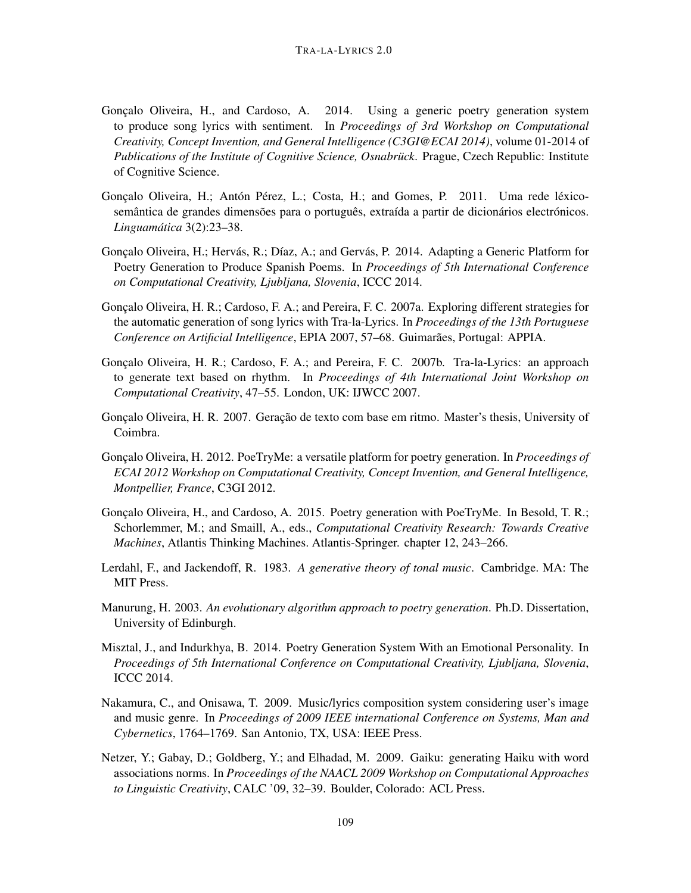- Gonçalo Oliveira, H., and Cardoso, A. 2014. Using a generic poetry generation system to produce song lyrics with sentiment. In *Proceedings of 3rd Workshop on Computational Creativity, Concept Invention, and General Intelligence (C3GI@ECAI 2014)*, volume 01-2014 of *Publications of the Institute of Cognitive Science, Osnabrück. Prague, Czech Republic: Institute* of Cognitive Science.
- Gonçalo Oliveira, H.; Antón Pérez, L.; Costa, H.; and Gomes, P. 2011. Uma rede léxicosemântica de grandes dimensões para o português, extraída a partir de dicionários electrónicos. *Linguamatica ´* 3(2):23–38.
- Gonçalo Oliveira, H.; Hervás, R.; Díaz, A.; and Gervás, P. 2014. Adapting a Generic Platform for Poetry Generation to Produce Spanish Poems. In *Proceedings of 5th International Conference on Computational Creativity, Ljubljana, Slovenia*, ICCC 2014.
- Gonçalo Oliveira, H. R.; Cardoso, F. A.; and Pereira, F. C. 2007a. Exploring different strategies for the automatic generation of song lyrics with Tra-la-Lyrics. In *Proceedings of the 13th Portuguese Conference on Artificial Intelligence*, EPIA 2007, 57–68. Guimarães, Portugal: APPIA.
- Goncalo Oliveira, H. R.; Cardoso, F. A.; and Pereira, F. C. 2007b. Tra-la-Lyrics: an approach to generate text based on rhythm. In *Proceedings of 4th International Joint Workshop on Computational Creativity*, 47–55. London, UK: IJWCC 2007.
- Goncalo Oliveira, H. R. 2007. Geracão de texto com base em ritmo. Master's thesis, University of Coimbra.
- Gonçalo Oliveira, H. 2012. PoeTryMe: a versatile platform for poetry generation. In *Proceedings of ECAI 2012 Workshop on Computational Creativity, Concept Invention, and General Intelligence, Montpellier, France*, C3GI 2012.
- Gonçalo Oliveira, H., and Cardoso, A. 2015. Poetry generation with PoeTryMe. In Besold, T. R.; Schorlemmer, M.; and Smaill, A., eds., *Computational Creativity Research: Towards Creative Machines*, Atlantis Thinking Machines. Atlantis-Springer. chapter 12, 243–266.
- Lerdahl, F., and Jackendoff, R. 1983. *A generative theory of tonal music*. Cambridge. MA: The MIT Press.
- Manurung, H. 2003. *An evolutionary algorithm approach to poetry generation*. Ph.D. Dissertation, University of Edinburgh.
- Misztal, J., and Indurkhya, B. 2014. Poetry Generation System With an Emotional Personality. In *Proceedings of 5th International Conference on Computational Creativity, Ljubljana, Slovenia*, ICCC 2014.
- Nakamura, C., and Onisawa, T. 2009. Music/lyrics composition system considering user's image and music genre. In *Proceedings of 2009 IEEE international Conference on Systems, Man and Cybernetics*, 1764–1769. San Antonio, TX, USA: IEEE Press.
- Netzer, Y.; Gabay, D.; Goldberg, Y.; and Elhadad, M. 2009. Gaiku: generating Haiku with word associations norms. In *Proceedings of the NAACL 2009 Workshop on Computational Approaches to Linguistic Creativity*, CALC '09, 32–39. Boulder, Colorado: ACL Press.